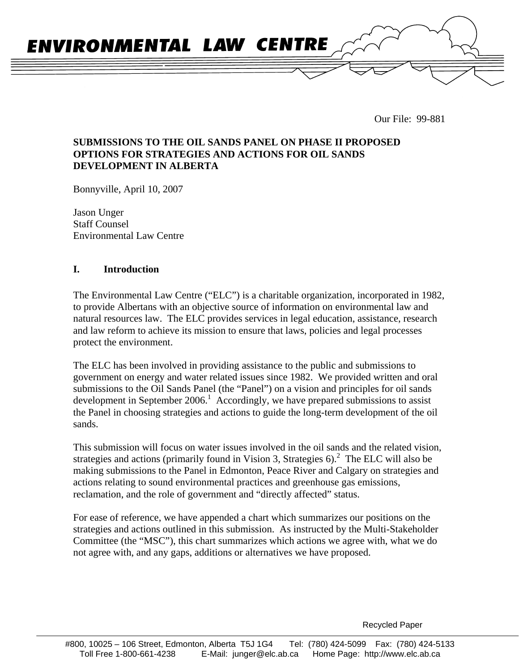

Our File: 99-881

# **SUBMISSIONS TO THE OIL SANDS PANEL ON PHASE II PROPOSED OPTIONS FOR STRATEGIES AND ACTIONS FOR OIL SANDS DEVELOPMENT IN ALBERTA**

Bonnyville, April 10, 2007

Jason Unger Staff Counsel Environmental Law Centre

### **I. Introduction**

The Environmental Law Centre ("ELC") is a charitable organization, incorporated in 1982, to provide Albertans with an objective source of information on environmental law and natural resources law. The ELC provides services in legal education, assistance, research and law reform to achieve its mission to ensure that laws, policies and legal processes protect the environment.

The ELC has been involved in providing assistance to the public and submissions to government on energy and water related issues since 1982. We provided written and oral submissions to the Oil Sands Panel (the "Panel") on a vision and principles for oil sands development in September 2006.<sup>1</sup> Accordingly, we have prepared submissions to assist the Panel in choosing strategies and actions to guide the long-term development of the oil sands.

This submission will focus on water issues involved in the oil sands and the related vision, strategies and actions (primarily found in Vision 3, Strategies  $6$ ).<sup>2</sup> The ELC will also be making submissions to the Panel in Edmonton, Peace River and Calgary on strategies and actions relating to sound environmental practices and greenhouse gas emissions, reclamation, and the role of government and "directly affected" status.

For ease of reference, we have appended a chart which summarizes our positions on the strategies and actions outlined in this submission. As instructed by the Multi-Stakeholder Committee (the "MSC"), this chart summarizes which actions we agree with, what we do not agree with, and any gaps, additions or alternatives we have proposed.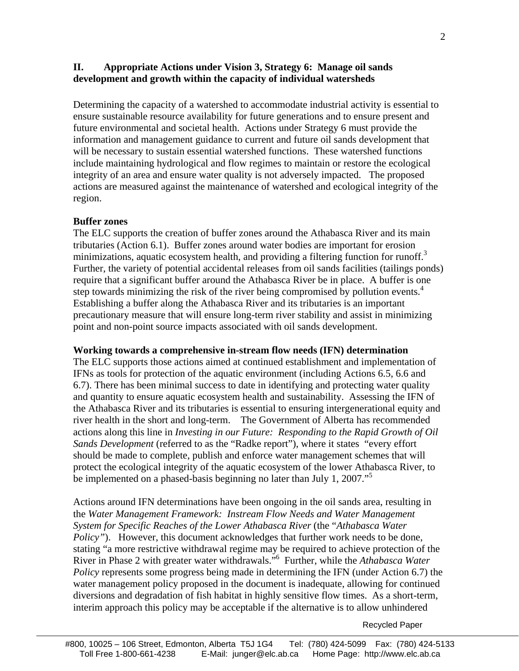# **II. Appropriate Actions under Vision 3, Strategy 6: Manage oil sands development and growth within the capacity of individual watersheds**

Determining the capacity of a watershed to accommodate industrial activity is essential to ensure sustainable resource availability for future generations and to ensure present and future environmental and societal health. Actions under Strategy 6 must provide the information and management guidance to current and future oil sands development that will be necessary to sustain essential watershed functions. These watershed functions include maintaining hydrological and flow regimes to maintain or restore the ecological integrity of an area and ensure water quality is not adversely impacted. The proposed actions are measured against the maintenance of watershed and ecological integrity of the region.

#### **Buffer zones**

The ELC supports the creation of buffer zones around the Athabasca River and its main tributaries (Action 6.1). Buffer zones around water bodies are important for erosion minimizations, aquatic ecosystem health, and providing a filtering function for runoff.<sup>3</sup> Further, the variety of potential accidental releases from oil sands facilities (tailings ponds) require that a significant buffer around the Athabasca River be in place. A buffer is one step towards minimizing the risk of the river being compromised by pollution events.<sup>4</sup> Establishing a buffer along the Athabasca River and its tributaries is an important precautionary measure that will ensure long-term river stability and assist in minimizing point and non-point source impacts associated with oil sands development.

#### **Working towards a comprehensive in-stream flow needs (IFN) determination**

The ELC supports those actions aimed at continued establishment and implementation of IFNs as tools for protection of the aquatic environment (including Actions 6.5, 6.6 and 6.7). There has been minimal success to date in identifying and protecting water quality and quantity to ensure aquatic ecosystem health and sustainability. Assessing the IFN of the Athabasca River and its tributaries is essential to ensuring intergenerational equity and river health in the short and long-term. The Government of Alberta has recommended actions along this line in *Investing in our Future: Responding to the Rapid Growth of Oil Sands Development* (referred to as the "Radke report"), where it states "every effort should be made to complete, publish and enforce water management schemes that will protect the ecological integrity of the aquatic ecosystem of the lower Athabasca River, to be implemented on a phased-basis beginning no later than July 1, 2007."<sup>5</sup>

Actions around IFN determinations have been ongoing in the oil sands area, resulting in the *Water Management Framework: Instream Flow Needs and Water Management System for Specific Reaches of the Lower Athabasca River* (the "*Athabasca Water Policy"*). However, this document acknowledges that further work needs to be done, stating "a more restrictive withdrawal regime may be required to achieve protection of the River in Phase 2 with greater water withdrawals."6 Further, while the *Athabasca Water Policy* represents some progress being made in determining the IFN (under Action 6.7) the water management policy proposed in the document is inadequate, allowing for continued diversions and degradation of fish habitat in highly sensitive flow times. As a short-term, interim approach this policy may be acceptable if the alternative is to allow unhindered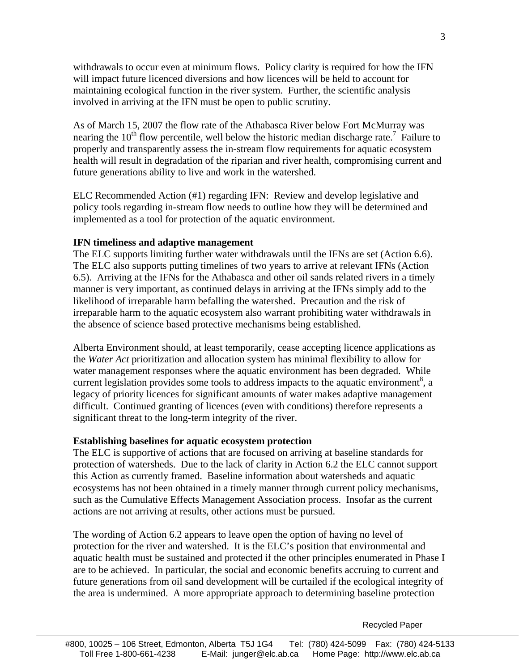withdrawals to occur even at minimum flows. Policy clarity is required for how the IFN will impact future licenced diversions and how licences will be held to account for maintaining ecological function in the river system. Further, the scientific analysis involved in arriving at the IFN must be open to public scrutiny.

As of March 15, 2007 the flow rate of the Athabasca River below Fort McMurray was nearing the  $10<sup>th</sup>$  flow percentile, well below the historic median discharge rate.<sup>7</sup> Failure to properly and transparently assess the in-stream flow requirements for aquatic ecosystem health will result in degradation of the riparian and river health, compromising current and future generations ability to live and work in the watershed.

ELC Recommended Action (#1) regarding IFN: Review and develop legislative and policy tools regarding in-stream flow needs to outline how they will be determined and implemented as a tool for protection of the aquatic environment.

#### **IFN timeliness and adaptive management**

The ELC supports limiting further water withdrawals until the IFNs are set (Action 6.6). The ELC also supports putting timelines of two years to arrive at relevant IFNs (Action 6.5). Arriving at the IFNs for the Athabasca and other oil sands related rivers in a timely manner is very important, as continued delays in arriving at the IFNs simply add to the likelihood of irreparable harm befalling the watershed. Precaution and the risk of irreparable harm to the aquatic ecosystem also warrant prohibiting water withdrawals in the absence of science based protective mechanisms being established.

Alberta Environment should, at least temporarily, cease accepting licence applications as the *Water Act* prioritization and allocation system has minimal flexibility to allow for water management responses where the aquatic environment has been degraded. While current legislation provides some tools to address impacts to the aquatic environment<sup>8</sup>, a legacy of priority licences for significant amounts of water makes adaptive management difficult. Continued granting of licences (even with conditions) therefore represents a significant threat to the long-term integrity of the river.

#### **Establishing baselines for aquatic ecosystem protection**

The ELC is supportive of actions that are focused on arriving at baseline standards for protection of watersheds. Due to the lack of clarity in Action 6.2 the ELC cannot support this Action as currently framed. Baseline information about watersheds and aquatic ecosystems has not been obtained in a timely manner through current policy mechanisms, such as the Cumulative Effects Management Association process. Insofar as the current actions are not arriving at results, other actions must be pursued.

The wording of Action 6.2 appears to leave open the option of having no level of protection for the river and watershed. It is the ELC's position that environmental and aquatic health must be sustained and protected if the other principles enumerated in Phase I are to be achieved. In particular, the social and economic benefits accruing to current and future generations from oil sand development will be curtailed if the ecological integrity of the area is undermined. A more appropriate approach to determining baseline protection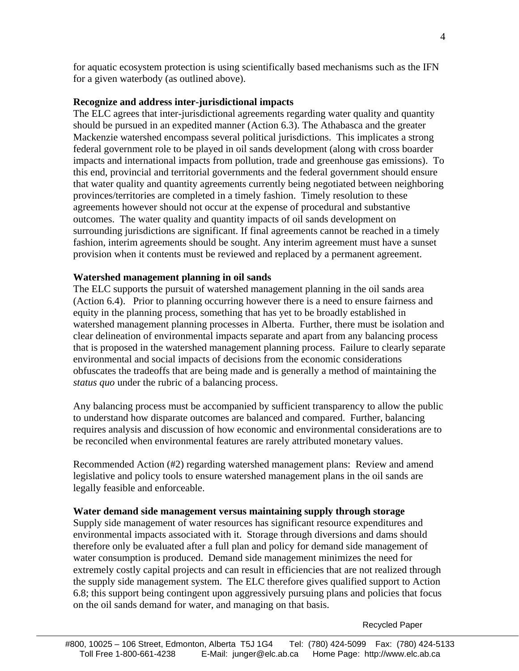for aquatic ecosystem protection is using scientifically based mechanisms such as the IFN for a given waterbody (as outlined above).

### **Recognize and address inter-jurisdictional impacts**

The ELC agrees that inter-jurisdictional agreements regarding water quality and quantity should be pursued in an expedited manner (Action 6.3). The Athabasca and the greater Mackenzie watershed encompass several political jurisdictions. This implicates a strong federal government role to be played in oil sands development (along with cross boarder impacts and international impacts from pollution, trade and greenhouse gas emissions). To this end, provincial and territorial governments and the federal government should ensure that water quality and quantity agreements currently being negotiated between neighboring provinces/territories are completed in a timely fashion. Timely resolution to these agreements however should not occur at the expense of procedural and substantive outcomes. The water quality and quantity impacts of oil sands development on surrounding jurisdictions are significant. If final agreements cannot be reached in a timely fashion, interim agreements should be sought. Any interim agreement must have a sunset provision when it contents must be reviewed and replaced by a permanent agreement.

#### **Watershed management planning in oil sands**

The ELC supports the pursuit of watershed management planning in the oil sands area (Action 6.4). Prior to planning occurring however there is a need to ensure fairness and equity in the planning process, something that has yet to be broadly established in watershed management planning processes in Alberta. Further, there must be isolation and clear delineation of environmental impacts separate and apart from any balancing process that is proposed in the watershed management planning process. Failure to clearly separate environmental and social impacts of decisions from the economic considerations obfuscates the tradeoffs that are being made and is generally a method of maintaining the *status quo* under the rubric of a balancing process.

Any balancing process must be accompanied by sufficient transparency to allow the public to understand how disparate outcomes are balanced and compared. Further, balancing requires analysis and discussion of how economic and environmental considerations are to be reconciled when environmental features are rarely attributed monetary values.

Recommended Action (#2) regarding watershed management plans: Review and amend legislative and policy tools to ensure watershed management plans in the oil sands are legally feasible and enforceable.

#### **Water demand side management versus maintaining supply through storage**

Supply side management of water resources has significant resource expenditures and environmental impacts associated with it. Storage through diversions and dams should therefore only be evaluated after a full plan and policy for demand side management of water consumption is produced. Demand side management minimizes the need for extremely costly capital projects and can result in efficiencies that are not realized through the supply side management system. The ELC therefore gives qualified support to Action 6.8; this support being contingent upon aggressively pursuing plans and policies that focus on the oil sands demand for water, and managing on that basis.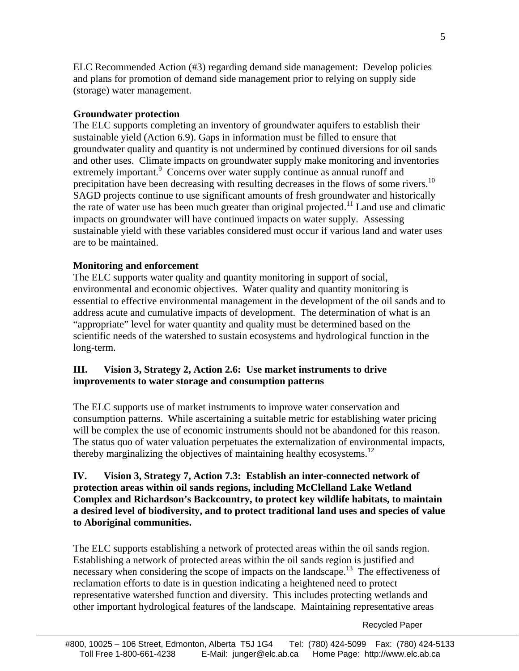ELC Recommended Action (#3) regarding demand side management: Develop policies and plans for promotion of demand side management prior to relying on supply side (storage) water management.

### **Groundwater protection**

The ELC supports completing an inventory of groundwater aquifers to establish their sustainable yield (Action 6.9). Gaps in information must be filled to ensure that groundwater quality and quantity is not undermined by continued diversions for oil sands and other uses. Climate impacts on groundwater supply make monitoring and inventories extremely important.<sup>9</sup> Concerns over water supply continue as annual runoff and precipitation have been decreasing with resulting decreases in the flows of some rivers.<sup>10</sup> SAGD projects continue to use significant amounts of fresh groundwater and historically the rate of water use has been much greater than original projected.<sup>11</sup> Land use and climatic impacts on groundwater will have continued impacts on water supply. Assessing sustainable yield with these variables considered must occur if various land and water uses are to be maintained.

### **Monitoring and enforcement**

The ELC supports water quality and quantity monitoring in support of social, environmental and economic objectives. Water quality and quantity monitoring is essential to effective environmental management in the development of the oil sands and to address acute and cumulative impacts of development. The determination of what is an "appropriate" level for water quantity and quality must be determined based on the scientific needs of the watershed to sustain ecosystems and hydrological function in the long-term.

### **III. Vision 3, Strategy 2, Action 2.6: Use market instruments to drive improvements to water storage and consumption patterns**

The ELC supports use of market instruments to improve water conservation and consumption patterns. While ascertaining a suitable metric for establishing water pricing will be complex the use of economic instruments should not be abandoned for this reason. The status quo of water valuation perpetuates the externalization of environmental impacts, thereby marginalizing the objectives of maintaining healthy ecosystems.<sup>12</sup>

# **IV. Vision 3, Strategy 7, Action 7.3: Establish an inter-connected network of protection areas within oil sands regions, including McClelland Lake Wetland Complex and Richardson's Backcountry, to protect key wildlife habitats, to maintain a desired level of biodiversity, and to protect traditional land uses and species of value to Aboriginal communities.**

The ELC supports establishing a network of protected areas within the oil sands region. Establishing a network of protected areas within the oil sands region is justified and necessary when considering the scope of impacts on the landscape.<sup>13</sup> The effectiveness of reclamation efforts to date is in question indicating a heightened need to protect representative watershed function and diversity. This includes protecting wetlands and other important hydrological features of the landscape. Maintaining representative areas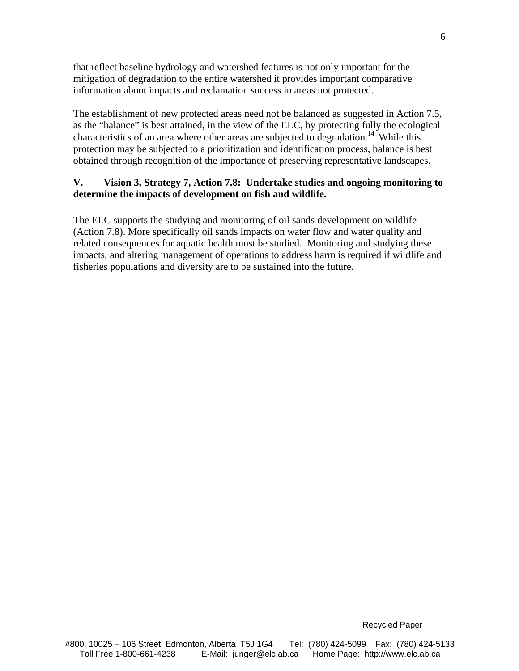that reflect baseline hydrology and watershed features is not only important for the mitigation of degradation to the entire watershed it provides important comparative information about impacts and reclamation success in areas not protected.

The establishment of new protected areas need not be balanced as suggested in Action 7.5, as the "balance" is best attained, in the view of the ELC, by protecting fully the ecological characteristics of an area where other areas are subjected to degradation.<sup>14</sup> While this protection may be subjected to a prioritization and identification process, balance is best obtained through recognition of the importance of preserving representative landscapes.

# **V. Vision 3, Strategy 7, Action 7.8: Undertake studies and ongoing monitoring to determine the impacts of development on fish and wildlife.**

The ELC supports the studying and monitoring of oil sands development on wildlife (Action 7.8). More specifically oil sands impacts on water flow and water quality and related consequences for aquatic health must be studied. Monitoring and studying these impacts, and altering management of operations to address harm is required if wildlife and fisheries populations and diversity are to be sustained into the future.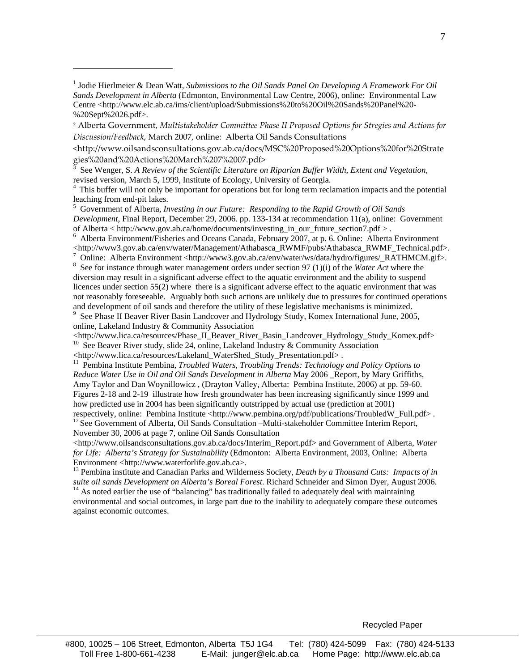2 Alberta Government, *Multistakeholder Committee Phase II Proposed Options for Stregies and Actions for Discussion/Feedback*, March 2007, online: Alberta Oil Sands Consultations

<http://www.oilsandsconsultations.gov.ab.ca/docs/MSC%20Proposed%20Options%20for%20Strate gies%20and%20Actions%20March%207%2007.pdf>

3 See Wenger, S. *A Review of the Scientific Literature on Riparian Buffer Width, Extent and Vegetation*, revised version, March 5, 1999, Institute of Ecology, University of Georgia. 4 This buffer will not only be important for operations but for long term reclamation impacts and the potential

leaching from end-pit lakes.

5 Government of Alberta, *Investing in our Future: Responding to the Rapid Growth of Oil Sands Development*, Final Report, December 29, 2006. pp. 133-134 at recommendation 11(a), online: Government of Alberta < http://www.gov.ab.ca/home/documents/investing\_in\_our\_future\_section7.pdf > .

<sup>6</sup> Alberta Environment/Fisheries and Oceans Canada, February 2007, at p. 6. Online: Alberta Environment <http://www3.gov.ab.ca/env/water/Management/Athabasca\_RWMF/pubs/Athabasca\_RWMF\_Technical.pdf>.

 Online: Alberta Environment <http://www3.gov.ab.ca/env/water/ws/data/hydro/figures/\_RATHMCM.gif>. <sup>8</sup> See for instance through water management orders under section 97 (1)(i) of the *Water Act* where the

diversion may result in a significant adverse effect to the aquatic environment and the ability to suspend licences under section 55(2) where there is a significant adverse effect to the aquatic environment that was not reasonably foreseeable. Arguably both such actions are unlikely due to pressures for continued operations and development of oil sands and therefore the utility of these legislative mechanisms is minimized.

9 See Phase II Beaver River Basin Landcover and Hydrology Study, Komex International June, 2005, online, Lakeland Industry & Community Association<br>
<http://www.lica.ca/resources/Phase\_II\_Beaver\_River\_Basin\_Landcover\_Hydrology\_Study\_Komex.pdf>

 $\frac{10}{10}$  $\frac{10}{10}$  $\frac{10}{10}$  See Beaver River study, slide 24, online, Lakeland Industry & Community Association

<http://www.lica.ca/resources/Lakeland\_WaterShed\_Study\_Presentation.pdf> . 11 Pembina Institute Pembina, *Troubled Waters, Troubling Trends: Technology and Policy Options to Reduce Water Use in Oil and Oil Sands Development in Alberta* May 2006 \_Report, by Mary Griffiths, Amy Taylor and Dan Woynillowicz , (Drayton Valley, Alberta: Pembina Institute, 2006) at pp. 59-60. Figures 2-18 and 2-19 illustrate how fresh groundwater has been increasing significantly since 1999 and how predicted use in 2004 has been significantly outstripped by actual use (prediction at 2001)

respectively, online: Pembina Institute <http://www.pembina.org/pdf/publications/TroubledW\_Full.pdf>. 12 See Government of Alberta, Oil Sands Consultation –Multi-stakeholder Committee Interim Report, November 30, 2006 at page 7, online Oil Sands Consultation

<http://www.oilsandsconsultations.gov.ab.ca/docs/Interim\_Report.pdf> and Government of Alberta, *Water for Life: Alberta's Strategy for Sustainability* (Edmonton: Alberta Environment, 2003, Online: Alberta

Environment <http://www.waterforlife.gov.ab.ca>.<br><sup>13</sup> Pembina institute and Canadian Parks and Wilderness Society, *Death by a Thousand Cuts: Impacts of in suite oil sands Development on Alberta's Boreal Forest. Richard Sc* 

<sup>14</sup> As noted earlier the use of "balancing" has traditionally failed to adequately deal with maintaining environmental and social outcomes, in large part due to the inability to adequately compare these outcomes against economic outcomes.

<sup>&</sup>lt;sup>1</sup> Jodie Hierlmeier & Dean Watt, *Submissions to the Oil Sands Panel On Developing A Framework For Oil Sands Development in Alberta* (Edmonton, Environmental Law Centre, 2006), online: Environmental Law Centre <http://www.elc.ab.ca/ims/client/upload/Submissions%20to%20Oil%20Sands%20Panel%20- %20Sept%2026.pdf>.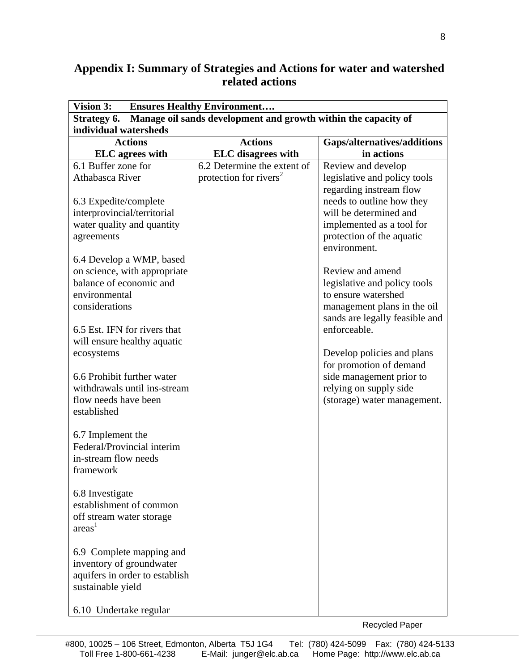# **Appendix I: Summary of Strategies and Actions for water and watershed related actions**

| Vision 3:<br><b>Ensures Healthy Environment</b>                               |                                    |                                                               |  |  |
|-------------------------------------------------------------------------------|------------------------------------|---------------------------------------------------------------|--|--|
| Manage oil sands development and growth within the capacity of<br>Strategy 6. |                                    |                                                               |  |  |
| individual watersheds                                                         |                                    |                                                               |  |  |
| <b>Actions</b>                                                                | <b>Actions</b>                     | Gaps/alternatives/additions                                   |  |  |
| <b>ELC</b> agrees with                                                        | <b>ELC</b> disagrees with          | in actions                                                    |  |  |
| 6.1 Buffer zone for                                                           | 6.2 Determine the extent of        | Review and develop                                            |  |  |
| Athabasca River                                                               | protection for rivers <sup>2</sup> | legislative and policy tools                                  |  |  |
|                                                                               |                                    | regarding instream flow                                       |  |  |
| 6.3 Expedite/complete                                                         |                                    | needs to outline how they                                     |  |  |
| interprovincial/territorial                                                   |                                    | will be determined and                                        |  |  |
| water quality and quantity                                                    |                                    | implemented as a tool for                                     |  |  |
| agreements                                                                    |                                    | protection of the aquatic                                     |  |  |
|                                                                               |                                    | environment.                                                  |  |  |
| 6.4 Develop a WMP, based                                                      |                                    |                                                               |  |  |
| on science, with appropriate                                                  |                                    | Review and amend                                              |  |  |
| balance of economic and<br>environmental                                      |                                    | legislative and policy tools<br>to ensure watershed           |  |  |
| considerations                                                                |                                    |                                                               |  |  |
|                                                                               |                                    | management plans in the oil<br>sands are legally feasible and |  |  |
| 6.5 Est. IFN for rivers that                                                  |                                    | enforceable.                                                  |  |  |
| will ensure healthy aquatic                                                   |                                    |                                                               |  |  |
| ecosystems                                                                    |                                    | Develop policies and plans                                    |  |  |
|                                                                               |                                    | for promotion of demand                                       |  |  |
| 6.6 Prohibit further water                                                    |                                    | side management prior to                                      |  |  |
| withdrawals until ins-stream                                                  |                                    | relying on supply side                                        |  |  |
| flow needs have been                                                          |                                    | (storage) water management.                                   |  |  |
| established                                                                   |                                    |                                                               |  |  |
|                                                                               |                                    |                                                               |  |  |
| 6.7 Implement the                                                             |                                    |                                                               |  |  |
| Federal/Provincial interim                                                    |                                    |                                                               |  |  |
| in-stream flow needs                                                          |                                    |                                                               |  |  |
| framework                                                                     |                                    |                                                               |  |  |
|                                                                               |                                    |                                                               |  |  |
| 6.8 Investigate                                                               |                                    |                                                               |  |  |
| establishment of common                                                       |                                    |                                                               |  |  |
| off stream water storage                                                      |                                    |                                                               |  |  |
| areas <sup>1</sup>                                                            |                                    |                                                               |  |  |
|                                                                               |                                    |                                                               |  |  |
| 6.9 Complete mapping and                                                      |                                    |                                                               |  |  |
| inventory of groundwater                                                      |                                    |                                                               |  |  |
| aquifers in order to establish                                                |                                    |                                                               |  |  |
| sustainable yield                                                             |                                    |                                                               |  |  |
|                                                                               |                                    |                                                               |  |  |
| 6.10 Undertake regular                                                        |                                    |                                                               |  |  |